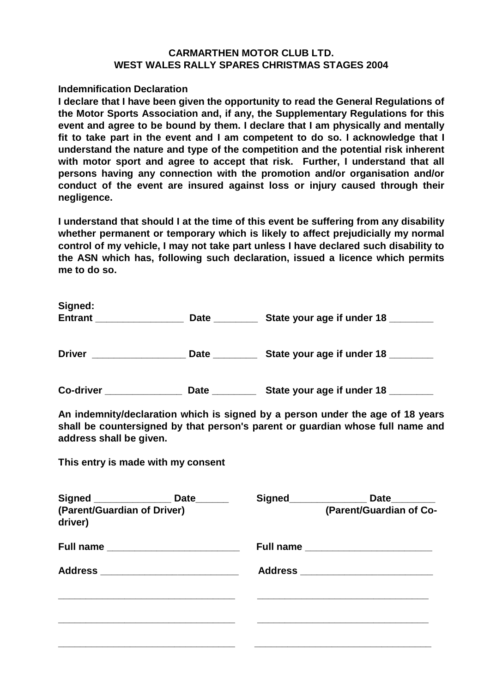## **CARMARTHEN MOTOR CLUB LTD. WEST WALES RALLY SPARES CHRISTMAS STAGES 2004**

#### **Indemnification Declaration**

**I declare that I have been given the opportunity to read the General Regulations of the Motor Sports Association and, if any, the Supplementary Regulations for this event and agree to be bound by them. I declare that I am physically and mentally fit to take part in the event and I am competent to do so. I acknowledge that I understand the nature and type of the competition and the potential risk inherent with motor sport and agree to accept that risk. Further, I understand that all persons having any connection with the promotion and/or organisation and/or conduct of the event are insured against loss or injury caused through their negligence.**

**I understand that should I at the time of this event be suffering from any disability whether permanent or temporary which is likely to affect prejudicially my normal control of my vehicle, I may not take part unless I have declared such disability to the ASN which has, following such declaration, issued a licence which permits me to do so.**

| Signed:<br><b>Entrant</b> | <b>Date</b> | State your age if under 18 |  |  |
|---------------------------|-------------|----------------------------|--|--|
| <b>Driver</b>             | <b>Date</b> | State your age if under 18 |  |  |

**Co-driver \_\_\_\_\_\_\_\_\_\_\_\_\_\_ Date \_\_\_\_\_\_\_\_ State your age if under 18 \_\_\_\_\_\_\_\_**

**An indemnity/declaration which is signed by a person under the age of 18 years shall be countersigned by that person's parent or guardian whose full name and address shall be given.**

**This entry is made with my consent**

|                                        | Signed ________________________ Date_________ | Signed_______________ | Date________            |
|----------------------------------------|-----------------------------------------------|-----------------------|-------------------------|
| (Parent/Guardian of Driver)<br>driver) |                                               |                       | (Parent/Guardian of Co- |
|                                        |                                               |                       |                         |
|                                        |                                               |                       |                         |
|                                        |                                               |                       |                         |
|                                        |                                               |                       |                         |
|                                        |                                               |                       |                         |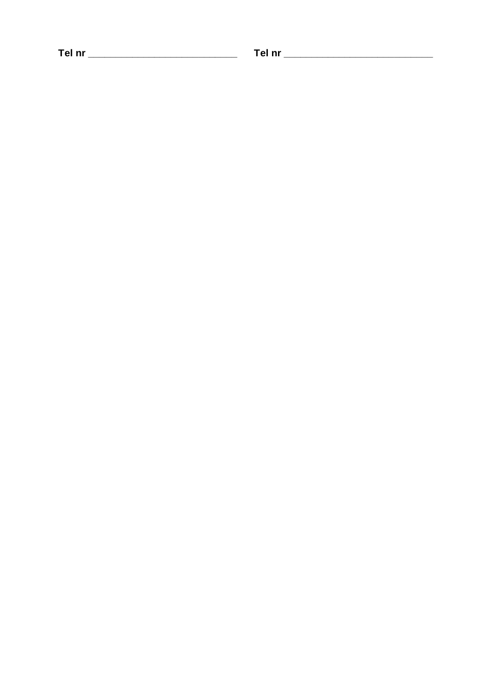Tel nr \_\_\_\_\_\_\_\_\_\_\_\_\_\_\_\_\_\_\_\_\_\_\_\_\_\_\_\_\_\_\_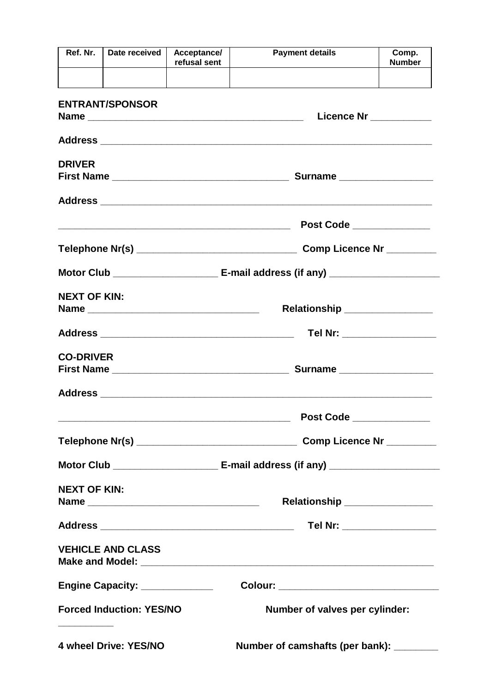| Ref. Nr.               | Date received                   | Acceptance/<br>refusal sent | <b>Payment details</b>                      | Comp.<br><b>Number</b>     |  |  |
|------------------------|---------------------------------|-----------------------------|---------------------------------------------|----------------------------|--|--|
|                        |                                 |                             |                                             |                            |  |  |
| <b>ENTRANT/SPONSOR</b> |                                 |                             |                                             | Licence Nr ___________     |  |  |
|                        |                                 |                             |                                             |                            |  |  |
| <b>DRIVER</b>          |                                 |                             |                                             |                            |  |  |
|                        |                                 |                             |                                             |                            |  |  |
|                        |                                 |                             | Post Code _____________                     |                            |  |  |
|                        |                                 |                             | Comp Licence Nr ________                    |                            |  |  |
|                        |                                 |                             |                                             |                            |  |  |
| <b>NEXT OF KIN:</b>    |                                 |                             | Relationship _________________              |                            |  |  |
|                        |                                 |                             |                                             | Tel Nr: __________________ |  |  |
| <b>CO-DRIVER</b>       |                                 |                             | Surname ____________________                |                            |  |  |
|                        |                                 |                             |                                             |                            |  |  |
|                        |                                 |                             | Post Code ______________                    |                            |  |  |
|                        |                                 |                             |                                             |                            |  |  |
|                        |                                 |                             |                                             |                            |  |  |
| <b>NEXT OF KIN:</b>    |                                 |                             | Relationship ________________               |                            |  |  |
|                        |                                 |                             |                                             |                            |  |  |
|                        | <b>VEHICLE AND CLASS</b>        |                             |                                             |                            |  |  |
|                        | Engine Capacity: ______________ |                             | Colour: ___________________________________ |                            |  |  |
|                        | <b>Forced Induction: YES/NO</b> |                             | Number of valves per cylinder:              |                            |  |  |
|                        | 4 wheel Drive: YES/NO           |                             | Number of camshafts (per bank): _______     |                            |  |  |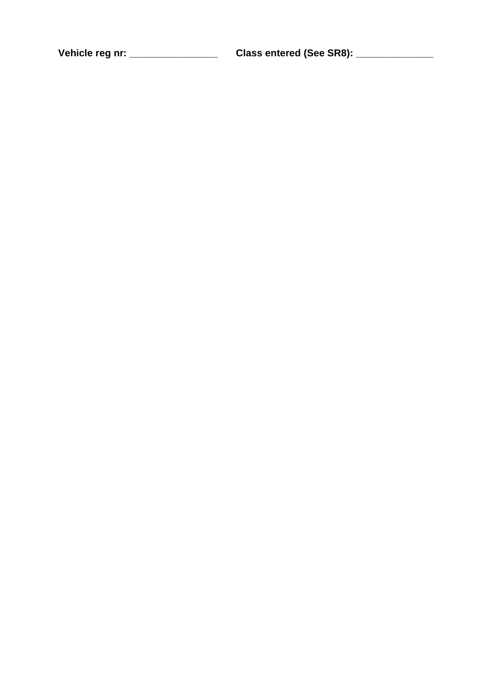Vehicle reg nr: \_\_\_\_\_\_\_\_\_\_\_\_\_\_\_\_\_\_\_\_\_\_\_\_\_\_Class entered (See SR8): \_\_\_\_\_\_\_\_\_\_\_\_\_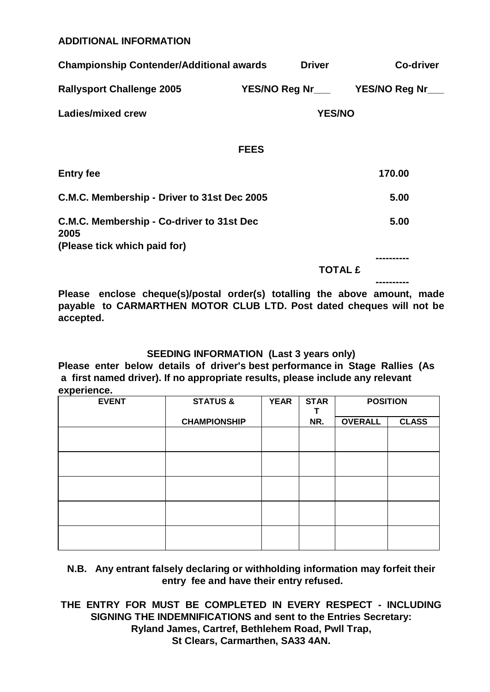## **ADDITIONAL INFORMATION**

| <b>Championship Contender/Additional awards</b>                                   |             | <b>Driver</b> | <b>Co-driver</b>                         |
|-----------------------------------------------------------------------------------|-------------|---------------|------------------------------------------|
| <b>Rallysport Challenge 2005</b>                                                  |             |               | YES/NO Reg Nr__________YES/NO Reg Nr____ |
| Ladies/mixed crew                                                                 |             | <b>YES/NO</b> |                                          |
|                                                                                   | <b>FEES</b> |               |                                          |
| <b>Entry fee</b>                                                                  |             |               | 170.00                                   |
| C.M.C. Membership - Driver to 31st Dec 2005                                       |             | 5.00          |                                          |
| C.M.C. Membership - Co-driver to 31st Dec<br>2005<br>(Please tick which paid for) |             |               | 5.00                                     |
|                                                                                   |             |               |                                          |

 **TOTAL £**

**----------**

**Please enclose cheque(s)/postal order(s) totalling the above amount, made payable to CARMARTHEN MOTOR CLUB LTD. Post dated cheques will not be accepted.**

## **SEEDING INFORMATION (Last 3 years only)**

**Please enter below details of driver's best performance in Stage Rallies (As a first named driver). If no appropriate results, please include any relevant experience.**

| <b>EVENT</b> | <b>STATUS &amp;</b> | <b>YEAR</b> | <b>STAR</b> | <b>POSITION</b> |              |
|--------------|---------------------|-------------|-------------|-----------------|--------------|
|              | <b>CHAMPIONSHIP</b> |             | NR.         | <b>OVERALL</b>  | <b>CLASS</b> |
|              |                     |             |             |                 |              |
|              |                     |             |             |                 |              |
|              |                     |             |             |                 |              |
|              |                     |             |             |                 |              |
|              |                     |             |             |                 |              |

## **N.B. Any entrant falsely declaring or withholding information may forfeit their entry fee and have their entry refused.**

**THE ENTRY FOR MUST BE COMPLETED IN EVERY RESPECT - INCLUDING SIGNING THE INDEMNIFICATIONS and sent to the Entries Secretary: Ryland James, Cartref, Bethlehem Road, Pwll Trap, St Clears, Carmarthen, SA33 4AN.**